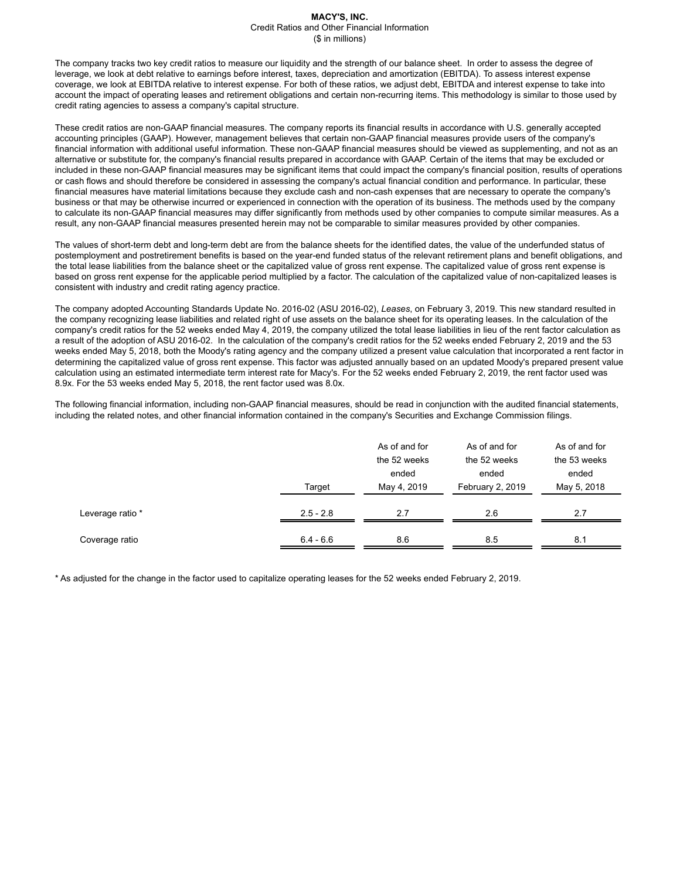The company tracks two key credit ratios to measure our liquidity and the strength of our balance sheet. In order to assess the degree of leverage, we look at debt relative to earnings before interest, taxes, depreciation and amortization (EBITDA). To assess interest expense coverage, we look at EBITDA relative to interest expense. For both of these ratios, we adjust debt, EBITDA and interest expense to take into account the impact of operating leases and retirement obligations and certain non-recurring items. This methodology is similar to those used by credit rating agencies to assess a company's capital structure.

These credit ratios are non-GAAP financial measures. The company reports its financial results in accordance with U.S. generally accepted accounting principles (GAAP). However, management believes that certain non-GAAP financial measures provide users of the company's financial information with additional useful information. These non-GAAP financial measures should be viewed as supplementing, and not as an alternative or substitute for, the company's financial results prepared in accordance with GAAP. Certain of the items that may be excluded or included in these non-GAAP financial measures may be significant items that could impact the company's financial position, results of operations or cash flows and should therefore be considered in assessing the company's actual financial condition and performance. In particular, these financial measures have material limitations because they exclude cash and non-cash expenses that are necessary to operate the company's business or that may be otherwise incurred or experienced in connection with the operation of its business. The methods used by the company to calculate its non-GAAP financial measures may differ significantly from methods used by other companies to compute similar measures. As a result, any non-GAAP financial measures presented herein may not be comparable to similar measures provided by other companies.

The values of short-term debt and long-term debt are from the balance sheets for the identified dates, the value of the underfunded status of postemployment and postretirement benefits is based on the year-end funded status of the relevant retirement plans and benefit obligations, and the total lease liabilities from the balance sheet or the capitalized value of gross rent expense. The capitalized value of gross rent expense is based on gross rent expense for the applicable period multiplied by a factor. The calculation of the capitalized value of non-capitalized leases is consistent with industry and credit rating agency practice.

The company adopted Accounting Standards Update No. 2016-02 (ASU 2016-02), *Leases*, on February 3, 2019. This new standard resulted in the company recognizing lease liabilities and related right of use assets on the balance sheet for its operating leases. In the calculation of the company's credit ratios for the 52 weeks ended May 4, 2019, the company utilized the total lease liabilities in lieu of the rent factor calculation as a result of the adoption of ASU 2016-02. In the calculation of the company's credit ratios for the 52 weeks ended February 2, 2019 and the 53 weeks ended May 5, 2018, both the Moody's rating agency and the company utilized a present value calculation that incorporated a rent factor in determining the capitalized value of gross rent expense. This factor was adjusted annually based on an updated Moody's prepared present value calculation using an estimated intermediate term interest rate for Macy's. For the 52 weeks ended February 2, 2019, the rent factor used was 8.9x. For the 53 weeks ended May 5, 2018, the rent factor used was 8.0x.

The following financial information, including non-GAAP financial measures, should be read in conjunction with the audited financial statements, including the related notes, and other financial information contained in the company's Securities and Exchange Commission filings.

|                  | Target      | As of and for<br>the 52 weeks<br>ended<br>May 4, 2019 | As of and for<br>the 52 weeks<br>ended<br>February 2, 2019 | As of and for<br>the 53 weeks<br>ended<br>May 5, 2018 |
|------------------|-------------|-------------------------------------------------------|------------------------------------------------------------|-------------------------------------------------------|
| Leverage ratio * | $2.5 - 2.8$ | 2.7                                                   | 2.6                                                        | 2.7                                                   |
| Coverage ratio   | $6.4 - 6.6$ | 8.6                                                   | 8.5                                                        | 8.1                                                   |

\* As adjusted for the change in the factor used to capitalize operating leases for the 52 weeks ended February 2, 2019.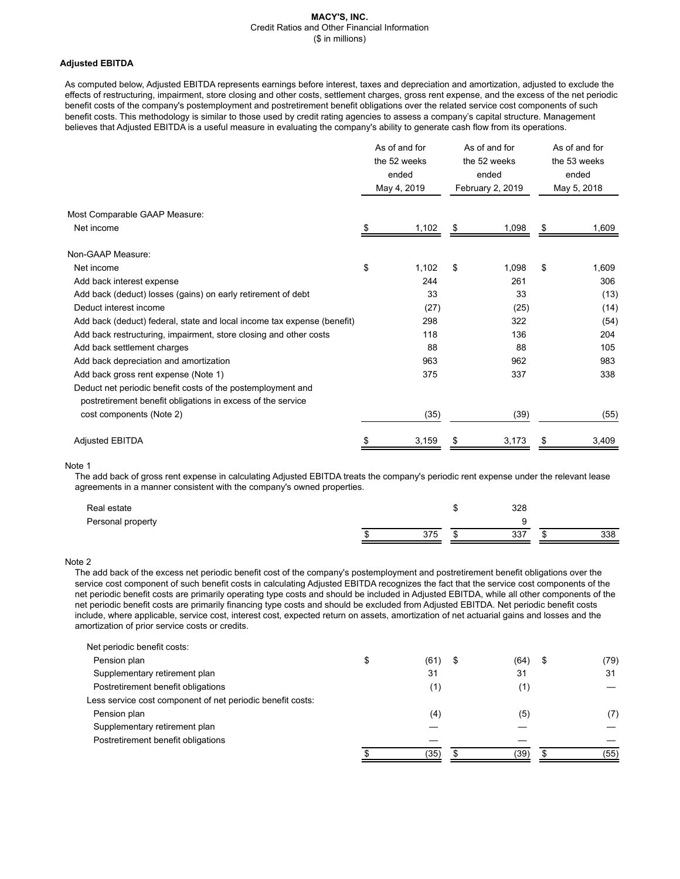# **Adjusted EBITDA**

As computed below, Adjusted EBITDA represents earnings before interest, taxes and depreciation and amortization, adjusted to exclude the effects of restructuring, impairment, store closing and other costs, settlement charges, gross rent expense, and the excess of the net periodic benefit costs of the company's postemployment and postretirement benefit obligations over the related service cost components of such benefit costs. This methodology is similar to those used by credit rating agencies to assess a company's capital structure. Management believes that Adjusted EBITDA is a useful measure in evaluating the company's ability to generate cash flow from its operations.

|                                                                                                                            | As of and for<br>the 52 weeks<br>ended<br>May 4, 2019 | As of and for<br>the 52 weeks<br>ended<br>February 2, 2019 |       | As of and for<br>the 53 weeks<br>ended<br>May 5, 2018 |       |
|----------------------------------------------------------------------------------------------------------------------------|-------------------------------------------------------|------------------------------------------------------------|-------|-------------------------------------------------------|-------|
| Most Comparable GAAP Measure:                                                                                              |                                                       |                                                            |       |                                                       |       |
| Net income                                                                                                                 | \$<br>1,102                                           | \$                                                         | 1,098 | \$                                                    | 1,609 |
| Non-GAAP Measure:                                                                                                          |                                                       |                                                            |       |                                                       |       |
| Net income                                                                                                                 | \$<br>1,102                                           | \$                                                         | 1,098 | \$                                                    | 1,609 |
| Add back interest expense                                                                                                  | 244                                                   |                                                            | 261   |                                                       | 306   |
| Add back (deduct) losses (gains) on early retirement of debt                                                               | 33                                                    |                                                            | 33    |                                                       | (13)  |
| Deduct interest income                                                                                                     | (27)                                                  |                                                            | (25)  |                                                       | (14)  |
| Add back (deduct) federal, state and local income tax expense (benefit)                                                    | 298                                                   |                                                            | 322   |                                                       | (54)  |
| Add back restructuring, impairment, store closing and other costs                                                          | 118                                                   |                                                            | 136   |                                                       | 204   |
| Add back settlement charges                                                                                                | 88                                                    |                                                            | 88    |                                                       | 105   |
| Add back depreciation and amortization                                                                                     | 963                                                   |                                                            | 962   |                                                       | 983   |
| Add back gross rent expense (Note 1)                                                                                       | 375                                                   |                                                            | 337   |                                                       | 338   |
| Deduct net periodic benefit costs of the postemployment and<br>postretirement benefit obligations in excess of the service |                                                       |                                                            |       |                                                       |       |
| cost components (Note 2)                                                                                                   | (35)                                                  |                                                            | (39)  |                                                       | (55)  |
| <b>Adjusted EBITDA</b>                                                                                                     | 3,159                                                 |                                                            | 3,173 |                                                       | 3,409 |

### Note 1

The add back of gross rent expense in calculating Adjusted EBITDA treats the company's periodic rent expense under the relevant lease agreements in a manner consistent with the company's owned properties.

| Real estate       |     | w      | 328 |    |     |
|-------------------|-----|--------|-----|----|-----|
| Personal property |     |        |     |    |     |
|                   | 375 | $\sim$ | 337 | ٠п | 338 |

### Note 2

The add back of the excess net periodic benefit cost of the company's postemployment and postretirement benefit obligations over the service cost component of such benefit costs in calculating Adjusted EBITDA recognizes the fact that the service cost components of the net periodic benefit costs are primarily operating type costs and should be included in Adjusted EBITDA, while all other components of the net periodic benefit costs are primarily financing type costs and should be excluded from Adjusted EBITDA. Net periodic benefit costs include, where applicable, service cost, interest cost, expected return on assets, amortization of net actuarial gains and losses and the amortization of prior service costs or credits.

| Net periodic benefit costs:                                |            |   |      |            |
|------------------------------------------------------------|------------|---|------|------------|
| Pension plan                                               | \$<br>(61) | S | (64) | \$<br>(79) |
| Supplementary retirement plan                              | 31         |   | 31   | 31         |
| Postretirement benefit obligations                         | (1)        |   | (1)  |            |
| Less service cost component of net periodic benefit costs: |            |   |      |            |
| Pension plan                                               | (4)        |   | (5)  | (7)        |
| Supplementary retirement plan                              |            |   |      |            |
| Postretirement benefit obligations                         |            |   |      |            |
|                                                            | (35)       |   | (39) | (55)       |
|                                                            |            |   |      |            |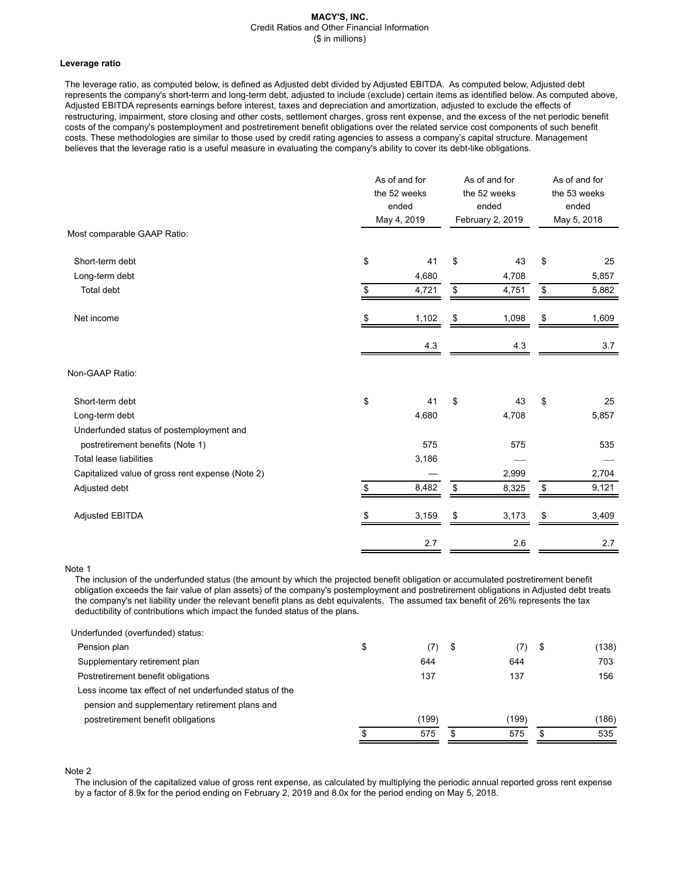### **Leverage ratio**

The leverage ratio, as computed below, is defined as Adjusted debt divided by Adjusted EBITDA. As computed below, Adjusted debt represents the company's short-term and long-term debt, adjusted to include (exclude) certain items as identified below. As computed above, Adjusted EBITDA represents earnings before interest, taxes and depreciation and amortization, adjusted to exclude the effects of restructuring, impairment, store closing and other costs, settlement charges, gross rent expense, and the excess of the net periodic benefit costs of the company's postemployment and postretirement benefit obligations over the related service cost components of such benefit costs. These methodologies are similar to those used by credit rating agencies to assess a company's capital structure. Management believes that the leverage ratio is a useful measure in evaluating the company's ability to cover its debt-like obligations.

|                                                  | As of and for<br>the 52 weeks<br>ended<br>May 4, 2019 | As of and for<br>the 52 weeks<br>ended<br>February 2, 2019 | As of and for<br>the 53 weeks<br>ended<br>May 5, 2018 |       |
|--------------------------------------------------|-------------------------------------------------------|------------------------------------------------------------|-------------------------------------------------------|-------|
| Most comparable GAAP Ratio:                      |                                                       |                                                            |                                                       |       |
| Short-term debt                                  | \$<br>41                                              | \$<br>43                                                   | \$                                                    | 25    |
| Long-term debt                                   | 4,680                                                 | 4,708                                                      |                                                       | 5,857 |
| Total debt                                       | \$<br>4,721                                           | \$<br>4,751                                                | \$                                                    | 5,882 |
| Net income                                       | \$<br>1,102                                           | \$<br>1,098                                                | \$                                                    | 1,609 |
|                                                  | 4.3                                                   | 4.3                                                        |                                                       | 3.7   |
| Non-GAAP Ratio:                                  |                                                       |                                                            |                                                       |       |
| Short-term debt                                  | \$<br>41                                              | \$<br>43                                                   | \$                                                    | 25    |
| Long-term debt                                   | 4,680                                                 | 4,708                                                      |                                                       | 5,857 |
| Underfunded status of postemployment and         |                                                       |                                                            |                                                       |       |
| postretirement benefits (Note 1)                 | 575                                                   | 575                                                        |                                                       | 535   |
| <b>Total lease liabilities</b>                   | 3,186                                                 |                                                            |                                                       |       |
| Capitalized value of gross rent expense (Note 2) |                                                       | 2,999                                                      |                                                       | 2,704 |
| Adjusted debt                                    | \$<br>8,482                                           | \$<br>8,325                                                | \$                                                    | 9,121 |
| Adjusted EBITDA                                  | \$<br>3,159                                           | \$<br>3,173                                                | \$                                                    | 3,409 |
|                                                  | 2.7                                                   | 2.6                                                        |                                                       | 2.7   |

# Note 1

The inclusion of the underfunded status (the amount by which the projected benefit obligation or accumulated postretirement benefit obligation exceeds the fair value of plan assets) of the company's postemployment and postretirement obligations in Adjusted debt treats the company's net liability under the relevant benefit plans as debt equivalents. The assumed tax benefit of 26% represents the tax deductibility of contributions which impact the funded status of the plans.

| Underfunded (overfunded) status:                        |           |           |             |
|---------------------------------------------------------|-----------|-----------|-------------|
| Pension plan                                            | \$<br>(7) | \$<br>(7) | \$<br>(138) |
| Supplementary retirement plan                           | 644       | 644       | 703         |
| Postretirement benefit obligations                      | 137       | 137       | 156         |
| Less income tax effect of net underfunded status of the |           |           |             |
| pension and supplementary retirement plans and          |           |           |             |
| postretirement benefit obligations                      | (199)     | (199)     | (186)       |
|                                                         | 575       | \$<br>575 | 535         |
|                                                         |           |           |             |

Note 2

The inclusion of the capitalized value of gross rent expense, as calculated by multiplying the periodic annual reported gross rent expense by a factor of 8.9x for the period ending on February 2, 2019 and 8.0x for the period ending on May 5, 2018.